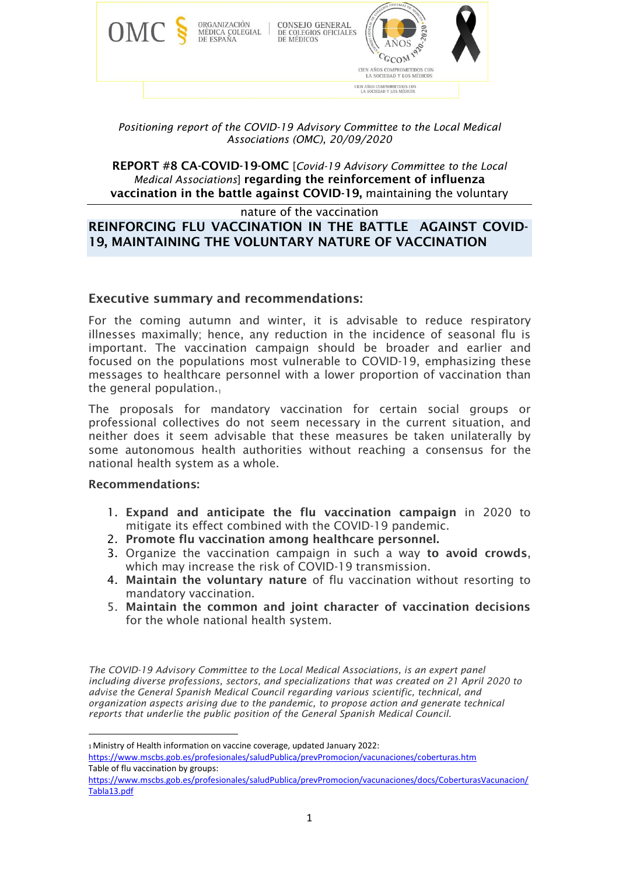

#### *Positioning report of the COVID-19 Advisory Committee to the Local Medical Associations (OMC), 20/09/2020*

REPORT #8 CA-COVID-19-OMC [*Covid-19 Advisory Committee to the Local Medical Associations*] regarding the reinforcement of influenza vaccination in the battle against COVID-19, maintaining the voluntary

nature of the vaccination

# REINFORCING FLU VACCINATION IN THE BATTLE AGAINST COVID-19, MAINTAINING THE VOLUNTARY NATURE OF VACCINATION

## Executive summary and recommendations:

For the coming autumn and winter, it is advisable to reduce respiratory illnesses maximally; hence, any reduction in the incidence of seasonal flu is important. The vaccination campaign should be broader and earlier and focused on the populations most vulnerable to COVID-19, emphasizing these messages to healthcare personnel with a lower proportion of vaccination than the general population. $\mathbf{1}$ 

The proposals for mandatory vaccination for certain social groups or professional collectives do not seem necessary in the current situation, and neither does it seem advisable that these measures be taken unilaterally by some autonomous health authorities without reaching a consensus for the national health system as a whole.

#### Recommendations:

- 1. Expand and anticipate the flu vaccination campaign in 2020 to mitigate its effect combined with the COVID-19 pandemic.
- 2. Promote flu vaccination among healthcare personnel.
- 3. Organize the vaccination campaign in such a way to avoid crowds, which may increase the risk of COVID-19 transmission.
- 4. Maintain the voluntary nature of flu vaccination without resorting to mandatory vaccination.
- 5. Maintain the common and joint character of vaccination decisions for the whole national health system.

*The COVID-19 Advisory Committee to the Local Medical Associations, is an expert panel including diverse professions, sectors, and specializations that was created on 21 April 2020 to advise the General Spanish Medical Council regarding various scientific, technical, and organization aspects arising due to the pandemic, to propose action and generate technical reports that underlie the public position of the General Spanish Medical Council.*

<sup>1</sup>Ministry of Health information on vaccine coverage, updated January 2022: <https://www.mscbs.gob.es/profesionales/saludPublica/prevPromocion/vacunaciones/coberturas.htm> Table of flu vaccination by groups:

[https://www.mscbs.gob.es/profesionales/saludPublica/prevPromocion/vacunaciones/docs/CoberturasVacunacion/](https://www.mscbs.gob.es/profesionales/saludPublica/prevPromocion/vacunaciones/docs/CoberturasVacunacion/Tabla13.pdf) [Tabla13.pdf](https://www.mscbs.gob.es/profesionales/saludPublica/prevPromocion/vacunaciones/docs/CoberturasVacunacion/Tabla13.pdf)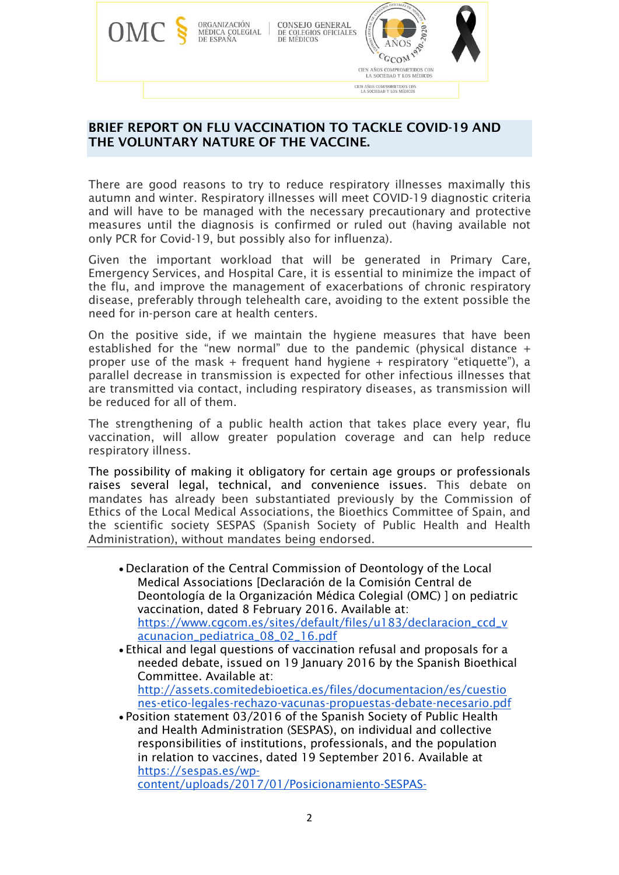

# BRIEF REPORT ON FLU VACCINATION TO TACKLE COVID-19 AND THE VOLUNTARY NATURE OF THE VACCINE.

There are good reasons to try to reduce respiratory illnesses maximally this autumn and winter. Respiratory illnesses will meet COVID-19 diagnostic criteria and will have to be managed with the necessary precautionary and protective measures until the diagnosis is confirmed or ruled out (having available not only PCR for Covid-19, but possibly also for influenza).

Given the important workload that will be generated in Primary Care, Emergency Services, and Hospital Care, it is essential to minimize the impact of the flu, and improve the management of exacerbations of chronic respiratory disease, preferably through telehealth care, avoiding to the extent possible the need for in-person care at health centers.

On the positive side, if we maintain the hygiene measures that have been established for the "new normal" due to the pandemic (physical distance  $+$ proper use of the mask + frequent hand hygiene + respiratory "etiquette"), a parallel decrease in transmission is expected for other infectious illnesses that are transmitted via contact, including respiratory diseases, as transmission will be reduced for all of them.

The strengthening of a public health action that takes place every year, flu vaccination, will allow greater population coverage and can help reduce respiratory illness.

The possibility of making it obligatory for certain age groups or professionals raises several legal, technical, and convenience issues. This debate on mandates has already been substantiated previously by the Commission of Ethics of the Local Medical Associations, the Bioethics Committee of Spain, and the scientific society SESPAS (Spanish Society of Public Health and Health Administration), without mandates being endorsed.

- Declaration of the Central Commission of Deontology of the Local Medical Associations [Declaración de la Comisión Central de Deontología de la Organización Médica Colegial (OMC) ] on pediatric vaccination, dated 8 February 2016. Available at: [https://www.cgcom.es/sites/default/files/u183/declaracion\\_ccd\\_v](https://www.cgcom.es/sites/default/files/u183/declaracion_ccd_vacunacion_pediatrica_08_02_16.pdf) [acunacion\\_pediatrica\\_08\\_02\\_16.pdf](https://www.cgcom.es/sites/default/files/u183/declaracion_ccd_vacunacion_pediatrica_08_02_16.pdf)
- Ethical and legal questions of vaccination refusal and proposals for a needed debate, issued on 19 January 2016 by the Spanish Bioethical Committee. Available at: [http://assets.comitedebioetica.es/files/documentacion/es/cuestio](http://assets.comitedebioetica.es/files/documentacion/es/cuestiones-etico-legales-rechazo-vacunas-propuestas-debate-necesario.pdf)

[nes-etico-legales-rechazo-vacunas-propuestas-debate-necesario.pdf](http://assets.comitedebioetica.es/files/documentacion/es/cuestiones-etico-legales-rechazo-vacunas-propuestas-debate-necesario.pdf)

• Position statement 03/2016 of the Spanish Society of Public Health and Health Administration (SESPAS), on individual and collective responsibilities of institutions, professionals, and the population in relation to vaccines, dated 19 September 2016. Available at [https://sespas.es/wp-](https://sespas.es/wp-content/uploads/2017/01/Posicionamiento-SESPAS-Responsabilidades-individuales-y-colectivas-en-relacion-a-las-vacunas.pdf)

[content/uploads/2017/01/Posicionamiento-SESPAS-](https://sespas.es/wp-content/uploads/2017/01/Posicionamiento-SESPAS-Responsabilidades-individuales-y-colectivas-en-relacion-a-las-vacunas.pdf)